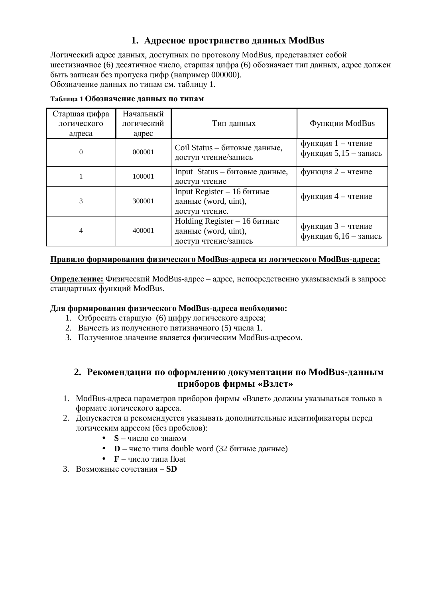## 1. Адресное пространство данных ModBus

Логический адрес данных, доступных по протоколу ModBus, представляет собой шестизначное (6) десятичное число, старшая цифра (6) обозначает тип данных, адрес должен быть записан без пропуска цифр (например 000000). Обозначение данных по типам см. таблицу 1.

| Старшая цифра<br>логического<br>адреса | Начальный<br>логический<br>адрес | Тип данных                                                                    | Функции ModBus                              |
|----------------------------------------|----------------------------------|-------------------------------------------------------------------------------|---------------------------------------------|
| $\Omega$                               | 000001                           | Coil Status – битовые данные,<br>доступ чтение/запись                         | функция 1 - чтение<br>функция 5,15 - запись |
|                                        | 100001                           | Input Status – битовые данные,<br>доступ чтение                               | функция 2 - чтение                          |
| 3                                      | 300001                           | Input Register $-16$ битные<br>данные (word, uint),<br>доступ чтение.         | функция 4 - чтение                          |
| 4                                      | 400001                           | Holding Register $-16$ битные<br>данные (word, uint),<br>доступ чтение/запись | функция 3 - чтение<br>функция 6,16 - запись |

**Ɍɚɛɥɢɰɚ 1 Ɉɛɨɡɧɚɱɟɧɢɟɞɚɧɧɵɯɩɨɬɢɩɚɦ**

#### Правило формирования физического ModBus-адреса из логического ModBus-адреса:

**Определение:** Физический ModBus-адрес – адрес, непосредственно указываемый в запросе стандартных функций ModBus.

## **Ⱦɥɹɮɨɪɦɢɪɨɜɚɧɢɹɮɢɡɢɱɟɫɤɨɝɨ ModBus-ɚɞɪɟɫɚɧɟɨɛɯɨɞɢɦɨ:**

- 1. Отбросить старшую (6) цифру логического адреса;
- 2. Вычесть из полученного пятизначного (5) числа 1.
- 3. Полученное значение является физическим ModBus-адресом.

## 2. Рекомендации по оформлению документации по ModBus-данным приборов фирмы «Взлет»

- 1. ModBus-адреса параметров приборов фирмы «Взлет» должны указываться только в формате логического алреса.
- 2. Допускается и рекомендуется указывать дополнительные идентификаторы перед логическим адресом (без пробелов):
	- $\bullet$   $S$  число со знаком
	- $\bullet$  **D** число типа double word (32 битные данные)
	- $\bullet$  **F** число типа float
- 3. Возможные сочетания SD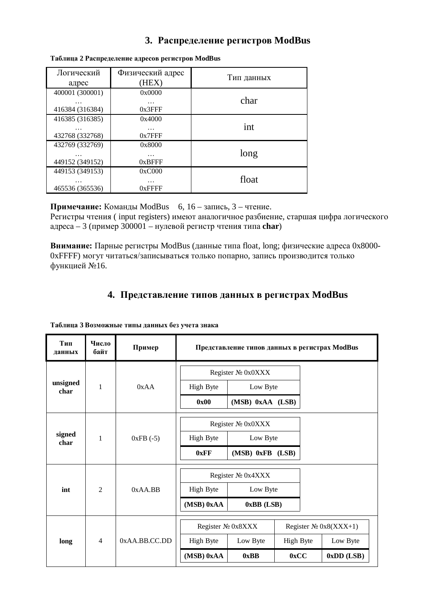## 3. Распределение регистров ModBus

| Логический      | Физический адрес | Тип данных |
|-----------------|------------------|------------|
| адрес           | (HEX)            |            |
| 400001 (300001) | 0x0000           |            |
| .               | $\cdots$         | char       |
| 416384 (316384) | $0x3$ FFF        |            |
| 416385 (316385) | 0x4000           |            |
| .               | .                | int        |
| 432768 (332768) | 0x7FFF           |            |
| 432769 (332769) | 0x8000           |            |
| .               | $\cdots$         | long       |
| 449152 (349152) | 0xBFFF           |            |
| 449153 (349153) | 0xC000           |            |
| .               | .                | float      |
| 465536 (365536) | $0x$ FFFF        |            |

#### **Ɍɚɛɥɢɰɚ 2 Ɋɚɫɩɪɟɞɟɥɟɧɢɟɚɞɪɟɫɨɜɪɟɝɢɫɬɪɨɜ ModBus**

**Примечание:** Команды ModBus 6, 16 – запись, 3 – чтение.

Регистры чтения ( input registers) имеют аналогичное разбиение, старшая цифра логического  $a\mu$ реса – 3 (пример 300001 – нулевой регистр чтения типа **char**)

**Внимание:** Парные регистры ModBus (данные типа float, long; физические адреса 0x8000-0xFFFF) могут читаться/записываться только попарно, запись производится только функцией №16.

# 4. **Представление типов данных в регистрах ModBus**

| Тип<br>данных                  | Число<br>байт     | Пример        | Представление типов данных в регистрах ModBus |                                                |           |  |              |
|--------------------------------|-------------------|---------------|-----------------------------------------------|------------------------------------------------|-----------|--|--------------|
|                                |                   |               | Register Nº 0x0XXX                            |                                                |           |  |              |
| unsigned<br>char               | $\mathbf{1}$      | 0xAA          | <b>High Byte</b>                              | Low Byte                                       |           |  |              |
|                                |                   |               | 0x00                                          | (MSB) 0xAA (LSB)                               |           |  |              |
|                                |                   |               |                                               | Register Nº 0x0XXX                             |           |  |              |
| signed<br>$\mathbf{1}$<br>char |                   | $0xFB$ (-5)   | <b>High Byte</b>                              | Low Byte                                       |           |  |              |
|                                |                   |               | 0xFF                                          | (MSB) 0xFB (LSB)                               |           |  |              |
| $\overline{2}$<br>int          |                   |               |                                               | Register Nº 0x4XXX                             |           |  |              |
|                                |                   | $0xAA$ .BB    | High Byte                                     | Low Byte                                       |           |  |              |
|                                |                   |               | (MSB) 0xAA                                    | 0xBB (LSB)                                     |           |  |              |
|                                | Register № 0x8XXX |               |                                               | Register $\mathcal{N}$ <sup>o</sup> 0x8(XXX+1) |           |  |              |
| long                           | $\overline{4}$    | 0xAA.BB.CC.DD | <b>High Byte</b>                              | Low Byte                                       | High Byte |  | Low Byte     |
|                                |                   |               | (MSB) 0xAA                                    | 0xBB                                           | 0xCC      |  | $0xDD$ (LSB) |

Таблица 3 Возможные типы данных без учета знака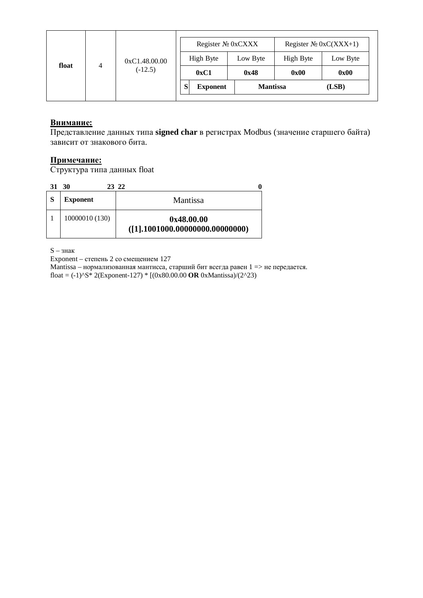|            |               | Register № 0xCXXX    |                 | Register $N_2 0xC(XXX+1)$ |          |  |
|------------|---------------|----------------------|-----------------|---------------------------|----------|--|
|            | 0xC1.48.00.00 | High Byte            |                 | High Byte                 | Low Byte |  |
| float<br>4 | $(-12.5)$     | 0xC1                 | 0x48            | 0x00                      | 0x00     |  |
|            |               | S<br><b>Exponent</b> | <b>Mantissa</b> |                           | (LSB)    |  |
|            |               |                      |                 |                           |          |  |

## **Внимание:**

Представление данных типа signed char в регистрах Modbus (значение старшего байта) зависит от знакового бита.

## **Примечание:**

Структура типа данных float

| 31           | 30              | 23 22                                              |
|--------------|-----------------|----------------------------------------------------|
| <sub>S</sub> | <b>Exponent</b> | Mantissa                                           |
|              | 10000010 (130)  | 0x48.00.00<br>$( [1]$ ,1001000.00000000.000000000) |

 $S - 3HaK$ 

Exponent – степень 2 со смещением 127

Mantissa – нормализованная мантисса, старший бит всегда равен 1 => не передается. float =  $(-1)$ <sup> $\wedge$ </sup>S<sup>\*</sup> 2(Exponent-127) \* [(0x80.00.00 **OR** 0xMantissa)/(2 $\wedge$ 23)